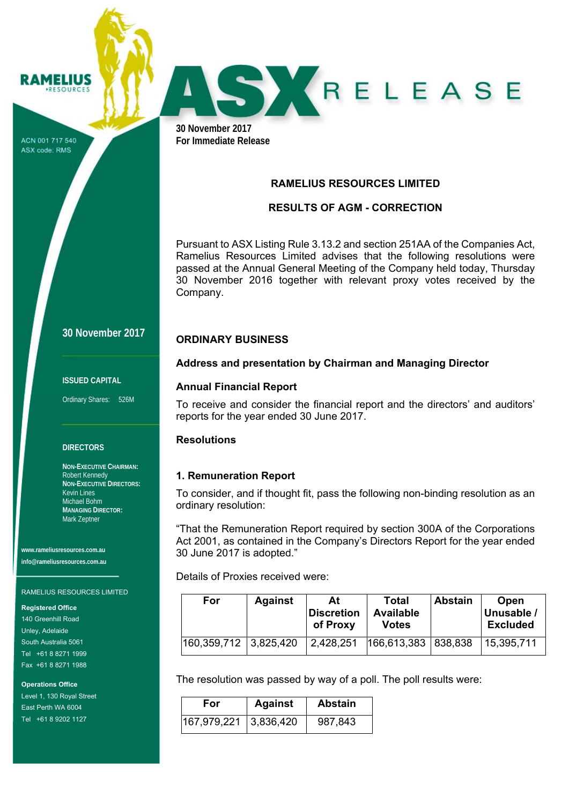ACN 001 717 540 ASX code: RMS

RAMELIUS **RESOURCES** 



**30 November 2017 For Immediate Release** 

### **RAMELIUS RESOURCES LIMITED**

## **RESULTS OF AGM - CORRECTION**

Pursuant to ASX Listing Rule 3.13.2 and section 251AA of the Companies Act, Ramelius Resources Limited advises that the following resolutions were passed at the Annual General Meeting of the Company held today, Thursday 30 November 2016 together with relevant proxy votes received by the Company.

# **30 November 2017**

#### **ISSUED CAPITAL**

Ordinary Shares: 526M

#### **DIRECTORS**

**NON-EXECUTIVE CHAIRMAN:**  Robert Kennedy **NON-EXECUTIVE DIRECTORS:**  Kevin Lines Michael Bohm **MANAGING DIRECTOR:**  Mark Zeptner

**www.rameliusresources.com.au info@rameliusresources.com.au** 

#### RAMELIUS RESOURCES LIMITED

**Registered Office** 

140 Greenhill Road Unley, Adelaide South Australia 5061 Tel +61 8 8271 1999 Fax +61 8 8271 1988

**Operations Office**  Level 1, 130 Royal Street East Perth WA 6004

Tel +61 8 9202 1127

## **ORDINARY BUSINESS**

### **Address and presentation by Chairman and Managing Director**

### **Annual Financial Report**

To receive and consider the financial report and the directors' and auditors' reports for the year ended 30 June 2017.

### **Resolutions**

### **1. Remuneration Report**

To consider, and if thought fit, pass the following non-binding resolution as an ordinary resolution:

"That the Remuneration Report required by section 300A of the Corporations Act 2001, as contained in the Company's Directors Report for the year ended 30 June 2017 is adopted."

Details of Proxies received were:

| For                       | <b>Against</b> | At<br><b>Discretion</b><br>of Proxy | Total<br><b>Available</b><br>Votes | <b>Abstain</b> | Open<br>Unusable /<br><b>Excluded</b> |
|---------------------------|----------------|-------------------------------------|------------------------------------|----------------|---------------------------------------|
| $160,359,712$   3,825,420 |                | 2,428,251                           | 166,613,383   838,838              |                | 15,395,711                            |

The resolution was passed by way of a poll. The poll results were:

| For                   | <b>Against</b> | <b>Abstain</b> |  |
|-----------------------|----------------|----------------|--|
| 167,979,221 3,836,420 |                | 987,843        |  |